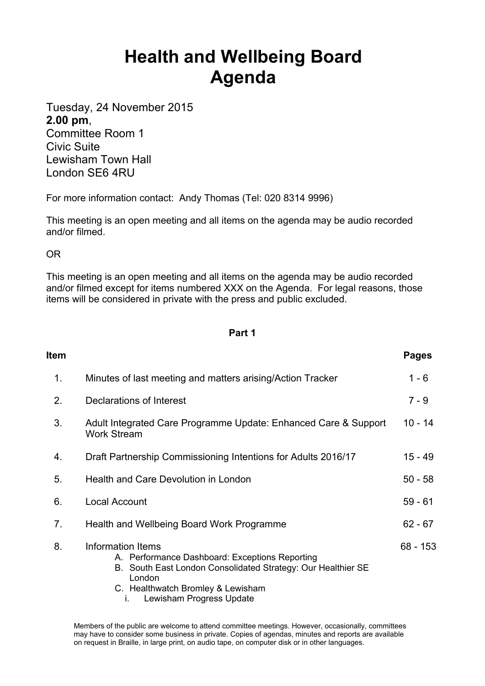## **Health and Wellbeing Board Agenda**

Tuesday, 24 November 2015 **2.00 pm**, Committee Room 1

Civic Suite Lewisham Town Hall London SE6 4RU

For more information contact: Andy Thomas (Tel: 020 8314 9996)

This meeting is an open meeting and all items on the agenda may be audio recorded and/or filmed.

OR

This meeting is an open meeting and all items on the agenda may be audio recorded and/or filmed except for items numbered XXX on the Agenda. For legal reasons, those items will be considered in private with the press and public excluded.

## **Part 1**

| Item |                                                                                                                                                                                                                      | <b>Pages</b> |
|------|----------------------------------------------------------------------------------------------------------------------------------------------------------------------------------------------------------------------|--------------|
| 1.   | Minutes of last meeting and matters arising/Action Tracker                                                                                                                                                           | $1 - 6$      |
| 2.   | Declarations of Interest                                                                                                                                                                                             | $7 - 9$      |
| 3.   | $10 - 14$<br>Adult Integrated Care Programme Update: Enhanced Care & Support<br><b>Work Stream</b>                                                                                                                   |              |
| 4.   | Draft Partnership Commissioning Intentions for Adults 2016/17                                                                                                                                                        |              |
| 5.   | Health and Care Devolution in London                                                                                                                                                                                 |              |
| 6.   | Local Account                                                                                                                                                                                                        |              |
| 7.   | Health and Wellbeing Board Work Programme                                                                                                                                                                            | $62 - 67$    |
| 8.   | Information Items<br>A. Performance Dashboard: Exceptions Reporting<br>B. South East London Consolidated Strategy: Our Healthier SE<br>London<br>C. Healthwatch Bromley & Lewisham<br>Lewisham Progress Update<br>İ. | $68 - 153$   |

Members of the public are welcome to attend committee meetings. However, occasionally, committees may have to consider some business in private. Copies of agendas, minutes and reports are available on request in Braille, in large print, on audio tape, on computer disk or in other languages.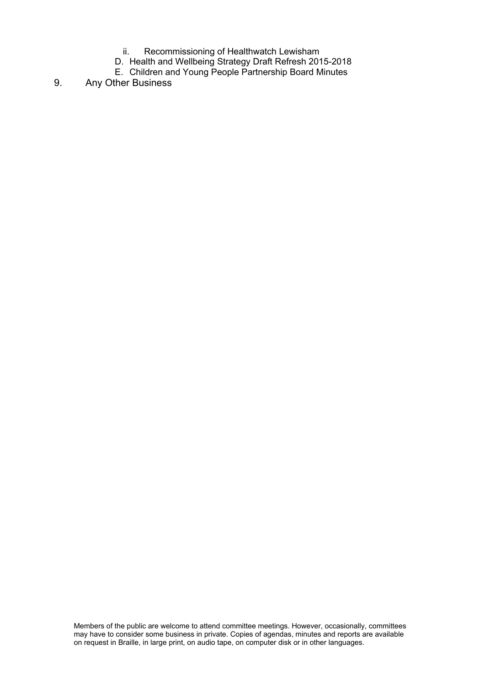- ii. Recommissioning of Healthwatch Lewisham
- D. Health and Wellbeing Strategy Draft Refresh 2015-2018
- E. Children and Young People Partnership Board Minutes

## 9. Any Other Business

Members of the public are welcome to attend committee meetings. However, occasionally, committees may have to consider some business in private. Copies of agendas, minutes and reports are available on request in Braille, in large print, on audio tape, on computer disk or in other languages.